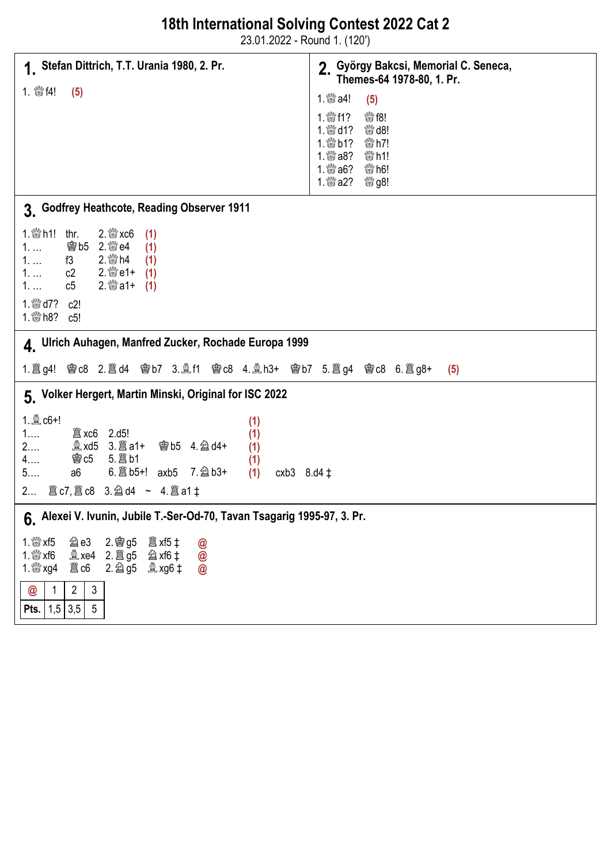| 18th International Solving Contest 2022 Cat 2 |  |
|-----------------------------------------------|--|
|-----------------------------------------------|--|

23.01.2022 - Round 1. (120')

| 1. Stefan Dittrich, T.T. Urania 1980, 2. Pr.                                                                                                                                                                                                                                                       | 2. György Bakcsi, Memorial C. Seneca,<br>Themes-64 1978-80, 1. Pr.                                                                                                                                                     |  |
|----------------------------------------------------------------------------------------------------------------------------------------------------------------------------------------------------------------------------------------------------------------------------------------------------|------------------------------------------------------------------------------------------------------------------------------------------------------------------------------------------------------------------------|--|
| 1. 鬱f4!<br>(5)                                                                                                                                                                                                                                                                                     | 1. <i>s</i> <sup><i>n</i></sup> a4!<br>(5)                                                                                                                                                                             |  |
|                                                                                                                                                                                                                                                                                                    | 1. 51?<br>$\frac{180}{100}$ f8!<br>1. & d1?<br>$\frac{180}{100}$ d8!<br>1. 50 b1?<br>$\mathbb{S}^{M}$ h7!<br>1. <i>₩</i> a8?<br>$\mathbb{S}$ h1!<br>1. ﷺ a6?<br>$\mathbb{S}^{M}$ h6!<br>1. ‱് a2?<br><sup>ৠ%</sup> g8! |  |
| 3. Godfrey Heathcote, Reading Observer 1911                                                                                                                                                                                                                                                        |                                                                                                                                                                                                                        |  |
| 1. $\frac{300}{20}$ h1! thr.<br>$2.$ $\frac{80}{20}$ xc6<br>(1)<br>$1. \ldots$<br>(1)<br>2. $\frac{300}{200}$ h4<br>$1.$<br>f3<br>(1)<br>1.<br>c2<br>(1)<br>$2.$ $\otimes$ a1+<br>c5<br>(1)<br>$1. \ldots$<br>1. $\mathbb{S}$ d7?<br>c2!<br>1. 1 b h 8? c 5!                                       |                                                                                                                                                                                                                        |  |
| 4. Ulrich Auhagen, Manfred Zucker, Rochade Europa 1999                                                                                                                                                                                                                                             |                                                                                                                                                                                                                        |  |
| 1. 圖 g4! Ne c8 2. 圖 d4 Ne b7 3. 鼻 f1 Ne c8 4. 鼻 h3+ Ne b7 5. 圖 g4 Ne c8 6. 圖 g8+<br>(5)                                                                                                                                                                                                            |                                                                                                                                                                                                                        |  |
| 5. Volker Hergert, Martin Minski, Original for ISC 2022                                                                                                                                                                                                                                            |                                                                                                                                                                                                                        |  |
| 1. a c6+!<br>(1)<br>2.d5!<br>1<br>(1)<br>2<br><b>彎b5 4.酋d4+</b><br>(1)<br>5. 2 b1<br><b>鬱c5</b><br>4<br>(1)<br>6. 2 b5+! axb5 7. 2 b3+<br>5<br>a6<br>(1)<br>cxb3 $8. d4 \ddagger$<br>2 $\hat{\mathbb{E}}$ c7, $\hat{\mathbb{E}}$ c8 3. $\hat{\mathbb{E}}$ d4 ~ 4. $\hat{\mathbb{E}}$ a1 $\ddagger$ |                                                                                                                                                                                                                        |  |
| 6. Alexei V. Ivunin, Jubile T.-Ser-Od-70, Tavan Tsagarig 1995-97, 3. Pr.                                                                                                                                                                                                                           |                                                                                                                                                                                                                        |  |
| 1. $\mathbb{S}$ xf5<br><b>②e3 2. @ g5 ③ xf5 ‡</b><br>000<br>1. $\mathbb{S}^{\mathbb{N}}$ xf6<br>$\overline{2}$<br>$\mathfrak{Z}$<br>@<br> 1,5 3,5 <br>$5\phantom{.0}$<br>Pts.                                                                                                                      |                                                                                                                                                                                                                        |  |